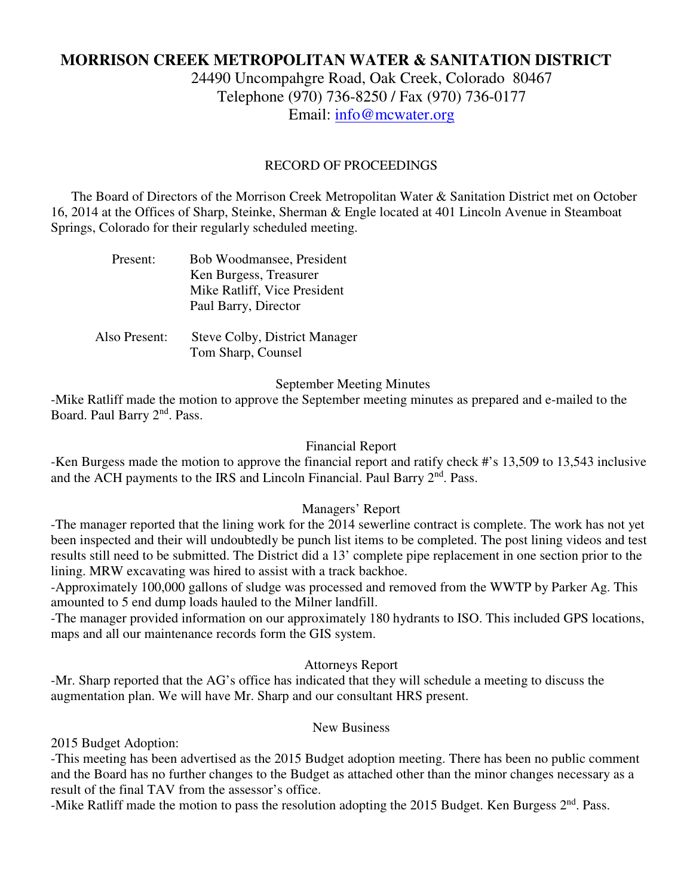# **MORRISON CREEK METROPOLITAN WATER & SANITATION DISTRICT**

24490 Uncompahgre Road, Oak Creek, Colorado 80467 Telephone (970) 736-8250 / Fax (970) 736-0177 Email: info@mcwater.org

## RECORD OF PROCEEDINGS

 The Board of Directors of the Morrison Creek Metropolitan Water & Sanitation District met on October 16, 2014 at the Offices of Sharp, Steinke, Sherman & Engle located at 401 Lincoln Avenue in Steamboat Springs, Colorado for their regularly scheduled meeting.

| Present: |  |  | Bob Woodmansee, President    |  |                                          |  |
|----------|--|--|------------------------------|--|------------------------------------------|--|
|          |  |  | Ken Burgess, Treasurer       |  |                                          |  |
|          |  |  | Mike Ratliff, Vice President |  |                                          |  |
|          |  |  | Paul Barry, Director         |  |                                          |  |
|          |  |  |                              |  |                                          |  |
|          |  |  | $\mathbf{r}$                 |  | $\alpha$ 11 $\beta$ , $\beta$ , $\gamma$ |  |

 Also Present: Steve Colby, District Manager Tom Sharp, Counsel

#### September Meeting Minutes

-Mike Ratliff made the motion to approve the September meeting minutes as prepared and e-mailed to the Board. Paul Barry 2nd. Pass.

#### Financial Report

-Ken Burgess made the motion to approve the financial report and ratify check #'s 13,509 to 13,543 inclusive and the ACH payments to the IRS and Lincoln Financial. Paul Barry 2<sup>nd</sup>. Pass.

### Managers' Report

-The manager reported that the lining work for the 2014 sewerline contract is complete. The work has not yet been inspected and their will undoubtedly be punch list items to be completed. The post lining videos and test results still need to be submitted. The District did a 13' complete pipe replacement in one section prior to the lining. MRW excavating was hired to assist with a track backhoe.

-Approximately 100,000 gallons of sludge was processed and removed from the WWTP by Parker Ag. This amounted to 5 end dump loads hauled to the Milner landfill.

-The manager provided information on our approximately 180 hydrants to ISO. This included GPS locations, maps and all our maintenance records form the GIS system.

#### Attorneys Report

-Mr. Sharp reported that the AG's office has indicated that they will schedule a meeting to discuss the augmentation plan. We will have Mr. Sharp and our consultant HRS present.

## New Business

2015 Budget Adoption:

-This meeting has been advertised as the 2015 Budget adoption meeting. There has been no public comment and the Board has no further changes to the Budget as attached other than the minor changes necessary as a result of the final TAV from the assessor's office.

-Mike Ratliff made the motion to pass the resolution adopting the 2015 Budget. Ken Burgess 2<sup>nd</sup>. Pass.